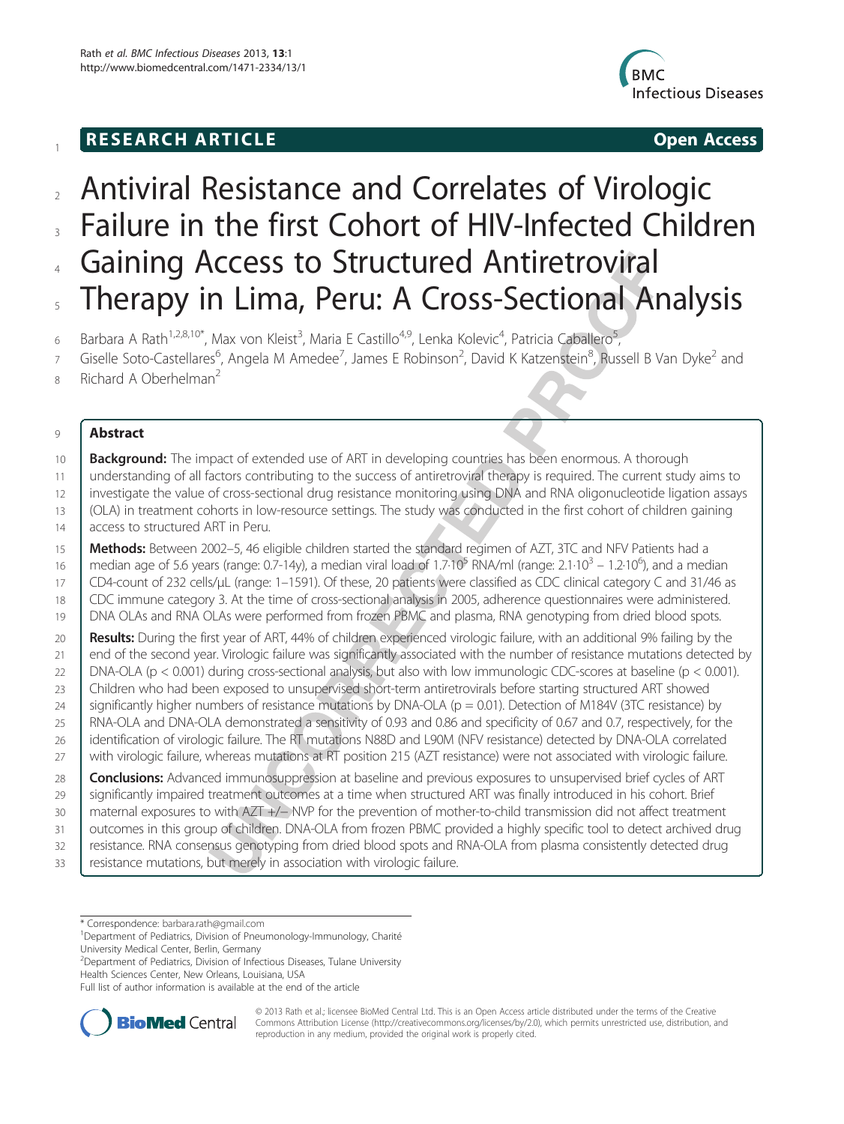# **THE SEARCH ARTICLE 1999 THE SEARCH ARTICLE**



# Antiviral Resistance and Correlates of Virologic Failure in the first Cohort of HIV-Infected Children Gaining Access to Structured Antiretroviral <sup>5</sup> Therapy in Lima, Peru: A Cross-Sectional Analysis

6 Barbara A Rath<sup>1,2,8,10\*</sup>, Max von Kleist<sup>3</sup>, Maria E Castillo<sup>4,9</sup>, Lenka Kolevic<sup>4</sup>, Patricia Caballero<sup>5</sup> ,

7 Giselle Soto-Castellares<sup>6</sup>, Angela M Amedee<sup>7</sup>, James E Robinson<sup>2</sup>, David K Katzenstein<sup>8</sup>, Russell B Van Dyke<sup>2</sup> and

8 Richard A Oberhelman<sup>2</sup>

### 9 Abstract

- 10 **Background:** The impact of extended use of ART in developing countries has been enormous. A thorough 11 understanding of all factors contributing to the success of antiretroviral therapy is required. The current study aims to 12 investigate the value of cross-sectional drug resistance monitoring using DNA and RNA oligonucleotide ligation assays 13 (OLA) in treatment cohorts in low-resource settings. The study was conducted in the first cohort of children gaining
- 14 access to structured ART in Peru.

15 **Methods:** Between 2002–5, 46 eligible children started the standard regimen of AZT, 3TC and NFV Patients had a 16  $\parallel$  median age of 5.6 years (range: 0.7-14y), a median viral load of 1.7·10<sup>5</sup> RNA/ml (range: 2.1·10<sup>3</sup> – 1.2·10<sup>6</sup>), and a median

17 CD4-count of 232 cells/μL (range: 1–1591). Of these, 20 patients were classified as CDC clinical category C and 31/46 as 18 CDC immune category 3. At the time of cross-sectional analysis in 2005, adherence questionnaires were administered. 19 DNA OLAs and RNA OLAs were performed from frozen PBMC and plasma, RNA genotyping from dried blood spots.

20 **Results:** During the first year of ART, 44% of children experienced virologic failure, with an additional 9% failing by the 21 end of the second year. Virologic failure was significantly associated with the number of resistance mutations detected by 22 DNA-OLA (p < 0.001) during cross-sectional analysis, but also with low immunologic CDC-scores at baseline (p < 0.001). 23 Children who had been exposed to unsupervised short-term antiretrovirals before starting structured ART showed

- 24 significantly higher numbers of resistance mutations by DNA-OLA (p = 0.01). Detection of M184V (3TC resistance) by
- 25 RNA-OLA and DNA-OLA demonstrated a sensitivity of 0.93 and 0.86 and specificity of 0.67 and 0.7, respectively, for the
- 26 identification of virologic failure. The RT mutations N88D and L90M (NFV resistance) detected by DNA-OLA correlated
- 27 with virologic failure, whereas mutations at RT position 215 (AZT resistance) were not associated with virologic failure.

28 Conclusions: Advanced immunosuppression at baseline and previous exposures to unsupervised brief cycles of ART 29 significantly impaired treatment outcomes at a time when structured ART was finally introduced in his cohort. Brief 30 maternal exposures to with AZT +/− NVP for the prevention of mother-to-child transmission did not affect treatment 31 outcomes in this group of children. DNA-OLA from frozen PBMC provided a highly specific tool to detect archived drug 32 resistance. RNA consensus genotyping from dried blood spots and RNA-OLA from plasma consistently detected drug

33 resistance mutations, but merely in association with virologic failure.

\* Correspondence: [barbara.rath@gmail.com](mailto:barbara.rath@gmail.com) <sup>1</sup>

2 Department of Pediatrics, Division of Infectious Diseases, Tulane University

Health Sciences Center, New Orleans, Louisiana, USA

Full list of author information is available at the end of the article



© 2013 Rath et al.; licensee BioMed Central Ltd. This is an Open Access article distributed under the terms of the Creative Commons Attribution License [\(http://creativecommons.org/licenses/by/2.0\)](http://creativecommons.org/licenses/by/2.0), which permits unrestricted use, distribution, and reproduction in any medium, provided the original work is properly cited.

<sup>&</sup>lt;sup>1</sup>Department of Pediatrics, Division of Pneumonology-Immunology, Charité University Medical Center, Berlin, Germany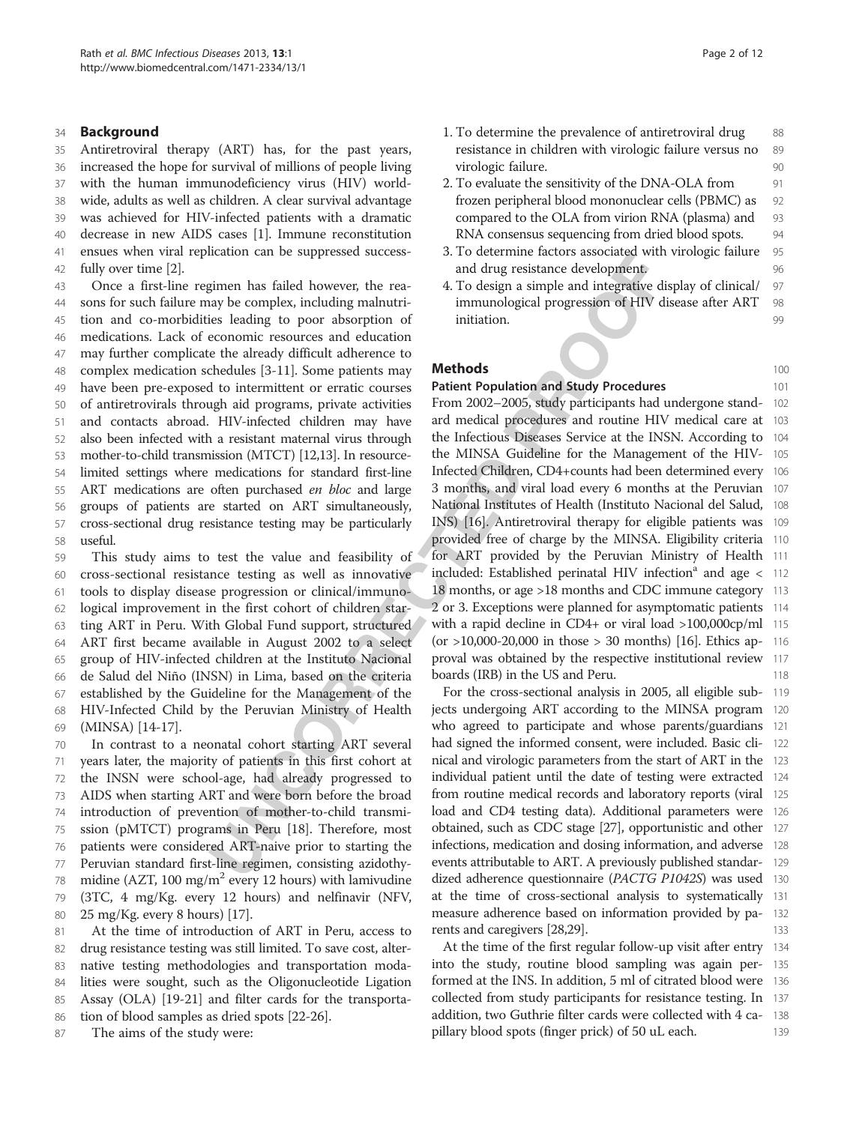#### 34 Background

 Antiretroviral therapy (ART) has, for the past years, increased the hope for survival of millions of people living with the human immunodeficiency virus (HIV) world- wide, adults as well as children. A clear survival advantage was achieved for HIV-infected patients with a dramatic decrease in new AIDS cases [[1\]](#page-10-0). Immune reconstitution ensues when viral replication can be suppressed success-fully over time [\[2](#page-10-0)].

 Once a first-line regimen has failed however, the rea- sons for such failure may be complex, including malnutri- tion and co-morbidities leading to poor absorption of medications. Lack of economic resources and education may further complicate the already difficult adherence to complex medication schedules [[3-11](#page-10-0)]. Some patients may have been pre-exposed to intermittent or erratic courses of antiretrovirals through aid programs, private activities and contacts abroad. HIV-infected children may have also been infected with a resistant maternal virus through mother-to-child transmission (MTCT) [\[12,13\]](#page-10-0). In resource- limited settings where medications for standard first-line ART medications are often purchased en bloc and large groups of patients are started on ART simultaneously, cross-sectional drug resistance testing may be particularly 58 useful.

 This study aims to test the value and feasibility of cross-sectional resistance testing as well as innovative tools to display disease progression or clinical/immuno- logical improvement in the first cohort of children star- ting ART in Peru. With Global Fund support, structured ART first became available in August 2002 to a select group of HIV-infected children at the Instituto Nacional de Salud del Niño (INSN) in Lima, based on the criteria established by the Guideline for the Management of the HIV-Infected Child by the Peruvian Ministry of Health (MINSA) [\[14-17](#page-10-0)].

 In contrast to a neonatal cohort starting ART several years later, the majority of patients in this first cohort at the INSN were school-age, had already progressed to AIDS when starting ART and were born before the broad introduction of prevention of mother-to-child transmi- ssion (pMTCT) programs in Peru [[18](#page-10-0)]. Therefore, most patients were considered ART-naive prior to starting the Peruvian standard first-line regimen, consisting azidothy-78 midine (AZT, 100 mg/m<sup>2</sup> every 12 hours) with lamivudine (3TC, 4 mg/Kg. every 12 hours) and nelfinavir (NFV, 25 mg/Kg. every 8 hours) [[17](#page-10-0)].

 At the time of introduction of ART in Peru, access to drug resistance testing was still limited. To save cost, alter- native testing methodologies and transportation moda- lities were sought, such as the Oligonucleotide Ligation Assay (OLA) [\[19-21\]](#page-10-0) and filter cards for the transporta-tion of blood samples as dried spots [\[22](#page-10-0)[-26\]](#page-11-0).

87 The aims of the study were:

- 1. To determine the prevalence of antiretroviral drug 88 resistance in children with virologic failure versus no 89 virologic failure. 90
- 2. To evaluate the sensitivity of the DNA-OLA from 91 frozen peripheral blood mononuclear cells (PBMC) as 92 compared to the OLA from virion RNA (plasma) and 93 RNA consensus sequencing from dried blood spots. 94
- 3. To determine factors associated with virologic failure 95 and drug resistance development. 96
- 4. To design a simple and integrative display of clinical/ 97 immunological progression of HIV disease after ART 98 initiation. 99

| <b>Methods</b><br>OC |
|----------------------|
|----------------------|

### Patient Population and Study Procedures 101

From 2002–2005, study participants had undergone stand- 102 ard medical procedures and routine HIV medical care at 103 the Infectious Diseases Service at the INSN. According to 104 the MINSA Guideline for the Management of the HIV- 105 Infected Children, CD4+counts had been determined every 106 3 months, and viral load every 6 months at the Peruvian 107 National Institutes of Health (Instituto Nacional del Salud, 108 INS) [\[16\]](#page-10-0). Antiretroviral therapy for eligible patients was 109 provided free of charge by the MINSA. Eligibility criteria 110 for ART provided by the Peruvian Ministry of Health 111 included: Established perinatal HIV infection<sup>a</sup> and age  $<$  112 18 months, or age >18 months and CDC immune category 113 2 or 3. Exceptions were planned for asymptomatic patients 114 with a rapid decline in CD4+ or viral load >100,000cp/ml 115 (or  $>10,000-20,000$  in those  $> 30$  months) [\[16\]](#page-10-0). Ethics ap- 116 proval was obtained by the respective institutional review 117 boards (IRB) in the US and Peru. 118

For the cross-sectional analysis in 2005, all eligible sub- 119 jects undergoing ART according to the MINSA program 120 who agreed to participate and whose parents/guardians 121 had signed the informed consent, were included. Basic cli- 122 nical and virologic parameters from the start of ART in the 123 individual patient until the date of testing were extracted 124 from routine medical records and laboratory reports (viral 125 load and CD4 testing data). Additional parameters were 126 obtained, such as CDC stage [\[27\]](#page-11-0), opportunistic and other 127 infections, medication and dosing information, and adverse 128 events attributable to ART. A previously published standar- 129 dized adherence questionnaire (PACTG P1042S) was used 130 at the time of cross-sectional analysis to systematically 131 measure adherence based on information provided by pa- 132 rents and caregivers [\[28,29\]](#page-11-0). 133

At the time of the first regular follow-up visit after entry 134 into the study, routine blood sampling was again per- 135 formed at the INS. In addition, 5 ml of citrated blood were 136 collected from study participants for resistance testing. In 137 addition, two Guthrie filter cards were collected with 4 ca- 138 pillary blood spots (finger prick) of 50 uL each. 139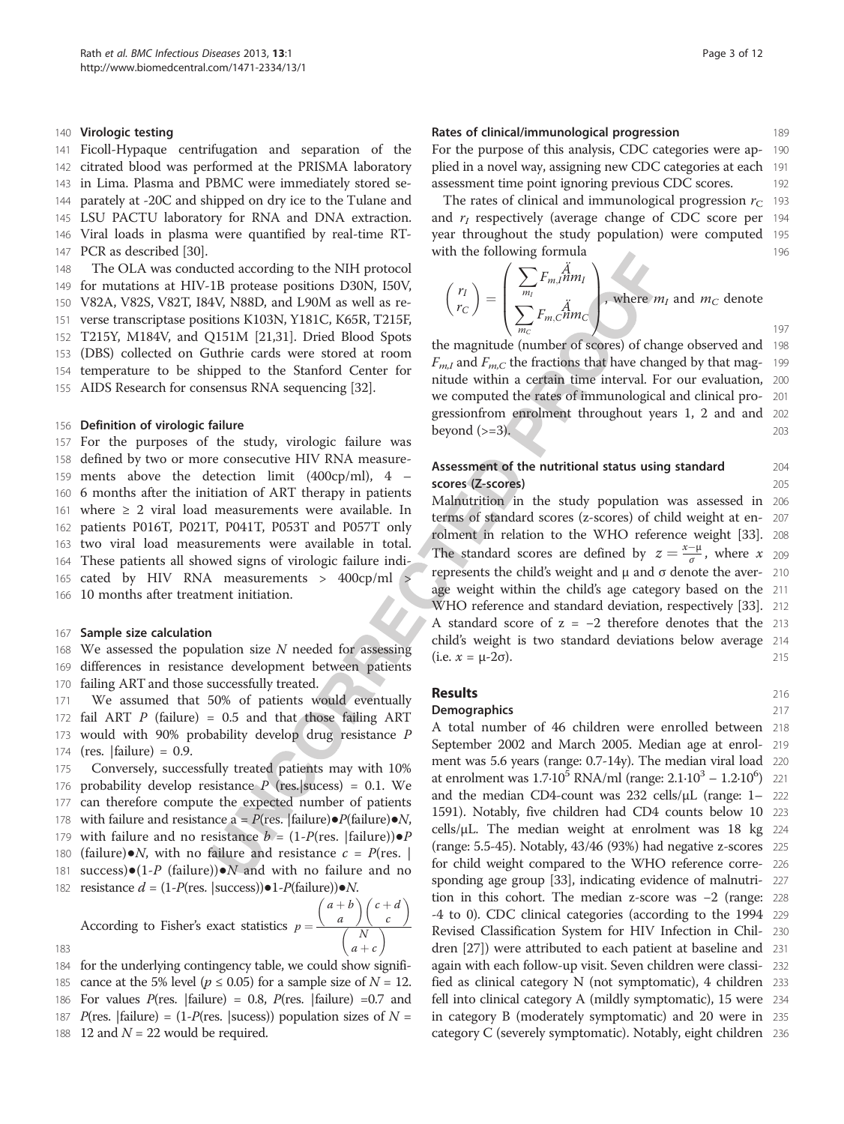#### 140 Virologic testing

 Ficoll-Hypaque centrifugation and separation of the citrated blood was performed at the PRISMA laboratory in Lima. Plasma and PBMC were immediately stored se-144 parately at -20C and shipped on dry ice to the Tulane and LSU PACTU laboratory for RNA and DNA extraction. Viral loads in plasma were quantified by real-time RT-PCR as described [[30\]](#page-11-0).

 The OLA was conducted according to the NIH protocol for mutations at HIV-1B protease positions D30N, I50V, V82A, V82S, V82T, I84V, N88D, and L90M as well as re- verse transcriptase positions K103N, Y181C, K65R, T215F, T215Y, M184V, and Q151M [[21](#page-10-0),[31](#page-11-0)]. Dried Blood Spots (DBS) collected on Guthrie cards were stored at room temperature to be shipped to the Stanford Center for AIDS Research for consensus RNA sequencing [\[32\]](#page-11-0).

#### 156 Definition of virologic failure

 For the purposes of the study, virologic failure was defined by two or more consecutive HIV RNA measure- ments above the detection limit (400cp/ml), 4 – 6 months after the initiation of ART therapy in patients where ≥ 2 viral load measurements were available. In patients P016T, P021T, P041T, P053T and P057T only two viral load measurements were available in total. These patients all showed signs of virologic failure indi-165 cated by HIV RNA measurements > 400cp/ml > 10 months after treatment initiation.

#### 167 Sample size calculation

 $168$  We assessed the population size N needed for assessing 169 differences in resistance development between patients 170 failing ART and those successfully treated.

 We assumed that 50% of patients would eventually 172 fail ART  $P$  (failure) = 0.5 and that those failing ART would with 90% probability develop drug resistance P (res. |failure) = 0.9.

175 Conversely, successfully treated patients may with 10% 176 probability develop resistance  $P$  (res. sucess) = 0.1. We 177 can therefore compute the expected number of patients 178 with failure and resistance a =  $P$ (res. |failure) $\bullet P$ (failure) $\bullet N$ , 179 with failure and no resistance  $b = (1-P(res. |failure)) \cdot P$ 180 (failure) $\bullet N$ , with no failure and resistance  $c = P$ (res. | 181 success) $\bullet$ (1-P (failure)) $\bullet$ N and with no failure and no 182 resistance  $d = (1-P(res. |success)) \cdot 1-P(failure)) \cdot N$ .

According to Fisher's exact statistics 
$$
p = \frac{\binom{a+b}{a}\binom{c+d}{c}}{\binom{N}{a+c}}
$$

184 for the underlying contingency table, we could show signifi-185 cance at the 5% level ( $p \le 0.05$ ) for a sample size of  $N = 12$ . 186 For values  $P$ (res. |failure) = 0.8,  $P$ (res. |failure) = 0.7 and 187 P(res.  $|$ failure) = (1-P(res.  $|$ sucess)) population sizes of N =

188 12 and  $N = 22$  would be required.

183

### Rates of clinical/immunological progression 189

For the purpose of this analysis, CDC categories were ap- 190 plied in a novel way, assigning new CDC categories at each 191 assessment time point ignoring previous CDC scores. 192

The rates of clinical and immunological progression  $r<sub>C</sub>$  193 and  $r_I$  respectively (average change of CDC score per 194 year throughout the study population) were computed 195 with the following formula 196

$$
\begin{pmatrix} r_I \\ r_C \end{pmatrix} = \begin{pmatrix} \sum_{m_I} \ddot{F}_{m,I} \ddot{n} m_I \\ \sum_{m_C} F_{m,C} \ddot{n} m_C \end{pmatrix}
$$
, where  $m_I$  and  $m_C$  denote

the magnitude (number of scores) of change observed and 198  $F_{m,l}$  and  $F_{m,C}$  the fractions that have changed by that mag- 199 nitude within a certain time interval. For our evaluation, 200 we computed the rates of immunological and clinical pro- 201 gressionfrom enrolment throughout years 1, 2 and and 202  $beyond (> = 3)$ . 203

### Assessment of the nutritional status using standard 204 scores (Z-scores) 205

Malnutrition in the study population was assessed in 206 terms of standard scores (z-scores) of child weight at en- 207 rolment in relation to the WHO reference weight [[33](#page-11-0)]. 208 The standard scores are defined by  $z = \frac{x-\mu}{\sigma}$ , where x 209 represents the child's weight and  $μ$  and  $σ$  denote the aver- 210 age weight within the child's age category based on the 211 WHO reference and standard deviation, respectively [[33](#page-11-0)]. 212 A standard score of  $z = -2$  therefore denotes that the 213 child's weight is two standard deviations below average 214 (i.e.  $x = \mu - 2\sigma$ ). 215

### Results 216

#### **Demographics** 217

A total number of 46 children were enrolled between 218 September 2002 and March 2005. Median age at enrol- 219 ment was 5.6 years (range: 0.7-14y). The median viral load 220 at enrolment was  $1.7·10^5$  RNA/ml (range:  $2.1·10^3 - 1.2·10^6$ ) 221 and the median CD4-count was 232 cells/μL (range: 1– 222 1591). Notably, five children had CD4 counts below 10 223 cells/μL. The median weight at enrolment was 18 kg 224 (range: 5.5-45). Notably, 43/46 (93%) had negative z-scores 225 for child weight compared to the WHO reference corre- 226 sponding age group [\[33\]](#page-11-0), indicating evidence of malnutri- 227 tion in this cohort. The median z-score was −2 (range: 228 -4 to 0). CDC clinical categories (according to the 1994 229 Revised Classification System for HIV Infection in Chil- 230 dren [\[27](#page-11-0)]) were attributed to each patient at baseline and 231 again with each follow-up visit. Seven children were classi- 232 fied as clinical category N (not symptomatic), 4 children 233 fell into clinical category A (mildly symptomatic), 15 were 234 in category B (moderately symptomatic) and 20 were in 235 category C (severely symptomatic). Notably, eight children 236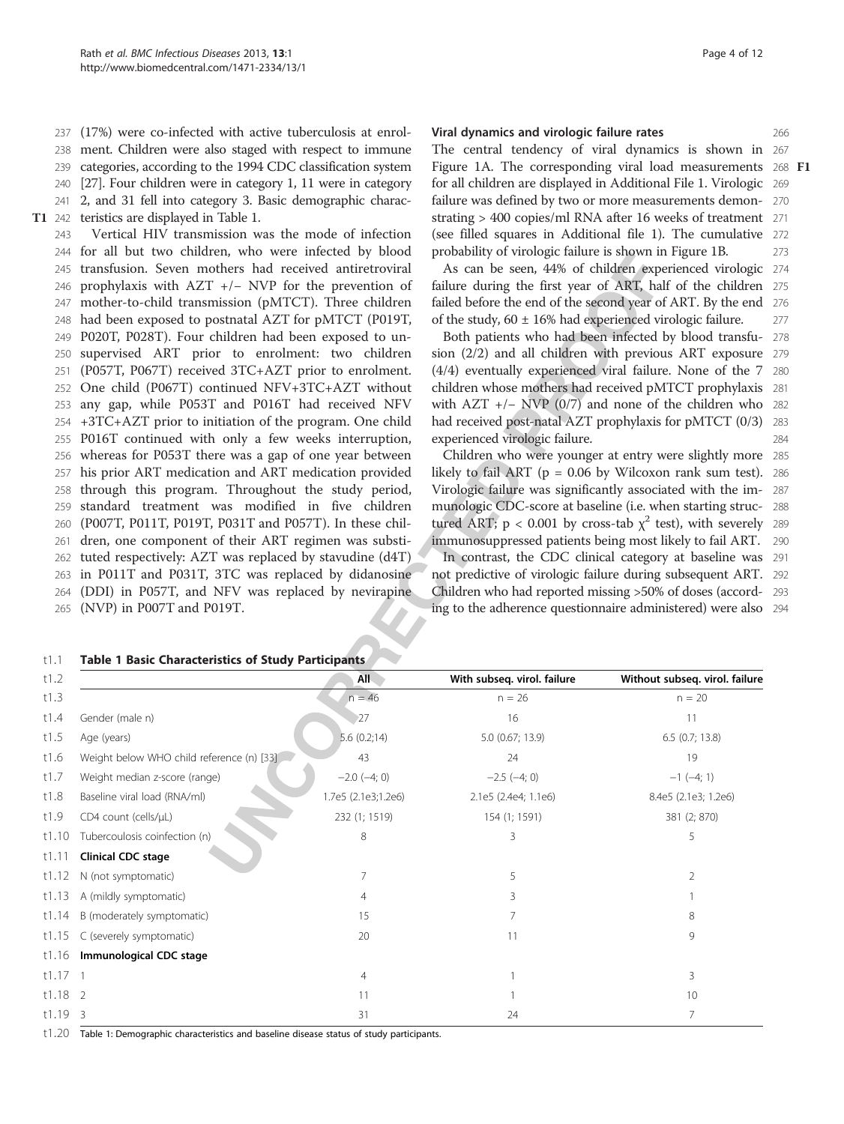(17%) were co-infected with active tuberculosis at enrol- ment. Children were also staged with respect to immune categories, according to the 1994 CDC classification system [[27](#page-11-0)]. Four children were in category 1, 11 were in category 2, and 31 fell into category 3. Basic demographic charac-T1 242 teristics are displayed in Table 1.

 Vertical HIV transmission was the mode of infection for all but two children, who were infected by blood transfusion. Seven mothers had received antiretroviral prophylaxis with AZT +/− NVP for the prevention of mother-to-child transmission (pMTCT). Three children had been exposed to postnatal AZT for pMTCT (P019T, P020T, P028T). Four children had been exposed to un- supervised ART prior to enrolment: two children (P057T, P067T) received 3TC+AZT prior to enrolment. One child (P067T) continued NFV+3TC+AZT without any gap, while P053T and P016T had received NFV +3TC+AZT prior to initiation of the program. One child P016T continued with only a few weeks interruption, whereas for P053T there was a gap of one year between his prior ART medication and ART medication provided through this program. Throughout the study period, standard treatment was modified in five children (P007T, P011T, P019T, P031T and P057T). In these chil- dren, one component of their ART regimen was substi- tuted respectively: AZT was replaced by stavudine (d4T) in P011T and P031T, 3TC was replaced by didanosine (DDI) in P057T, and NFV was replaced by nevirapine (NVP) in P007T and P019T.

#### Viral dynamics and virologic failure rates 266

The central tendency of viral dynamics is shown in 267 Figure [1A](#page-4-0). The corresponding viral load measurements 268 F1 for all children are displayed in Additional File [1](#page-9-0). Virologic 269 failure was defined by two or more measurements demon- 270 strating > 400 copies/ml RNA after 16 weeks of treatment 271 (see filled squares in Additional file [1](#page-9-0)). The cumulative 272 probability of virologic failure is shown in Figure [1B](#page-4-0). 273

As can be seen, 44% of children experienced virologic 274 failure during the first year of ART, half of the children 275 failed before the end of the second year of ART. By the end 276 of the study,  $60 \pm 16\%$  had experienced virologic failure. 277

Both patients who had been infected by blood transfu- 278 sion (2/2) and all children with previous ART exposure 279 (4/4) eventually experienced viral failure. None of the 7 280 children whose mothers had received pMTCT prophylaxis 281 with AZT +/− NVP  $(0/7)$  and none of the children who 282 had received post-natal AZT prophylaxis for pMTCT (0/3) 283 experienced virologic failure. 284

Children who were younger at entry were slightly more 285 likely to fail ART ( $p = 0.06$  by Wilcoxon rank sum test). 286 Virologic failure was significantly associated with the im- 287 munologic CDC-score at baseline (i.e. when starting struc- 288 tured ART;  $p < 0.001$  by cross-tab  $\chi^2$  test), with severely 289 immunosuppressed patients being most likely to fail ART. 290

In contrast, the CDC clinical category at baseline was 291 not predictive of virologic failure during subsequent ART. 292 Children who had reported missing >50% of doses (accord- 293 ing to the adherence questionnaire administered) were also 294

| t1.1 |  |                                                            |  |
|------|--|------------------------------------------------------------|--|
|      |  | <b>Table 1 Basic Characteristics of Study Participants</b> |  |

|                                           | All                 | With subseq. virol. failure | Without subseq. virol. failure                      |
|-------------------------------------------|---------------------|-----------------------------|-----------------------------------------------------|
|                                           | $n = 46$            | $n = 26$                    | $n = 20$                                            |
| Gender (male n)                           | 27                  | 16                          | 11                                                  |
| Age (years)                               | 5.6(0.2;14)         | 5.0 (0.67; 13.9)            | $6.5$ (0.7; 13.8)                                   |
| Weight below WHO child reference (n) [33] | 43                  | 24                          | 19                                                  |
| Weight median z-score (range)             | $-2.0$ $(-4; 0)$    | $-2.5$ $(-4; 0)$            | $-1$ $(-4; 1)$                                      |
| Baseline viral load (RNA/ml)              | 1.7e5 (2.1e3;1.2e6) | 2.1e5 (2.4e4; 1.1e6)        | 8.4e5 (2.1e3; 1.2e6)                                |
| CD4 count (cells/µL)                      | 232 (1; 1519)       | 154 (1; 1591)               | 381 (2; 870)                                        |
| Tubercoulosis coinfection (n)             | 8                   | 3                           | 5                                                   |
| Clinical CDC stage                        |                     |                             |                                                     |
| N (not symptomatic)                       | 7                   | 5                           | $\overline{2}$                                      |
| A (mildly symptomatic)                    | 4                   | 3                           |                                                     |
| B (moderately symptomatic)                | 15                  | 7                           | 8                                                   |
| C (severely symptomatic)                  | 20                  | 11                          | 9                                                   |
| Immunological CDC stage                   |                     |                             |                                                     |
| t1.17                                     | $\overline{4}$      |                             | 3                                                   |
| $t1.18$ 2                                 | 11                  |                             | 10                                                  |
| $t1.19$ 3                                 | 31                  | 24                          | 7                                                   |
|                                           |                     |                             | Table T Basic Characteristics of Study Participants |

t1.20 Table 1: Demographic characteristics and baseline disease status of study participants.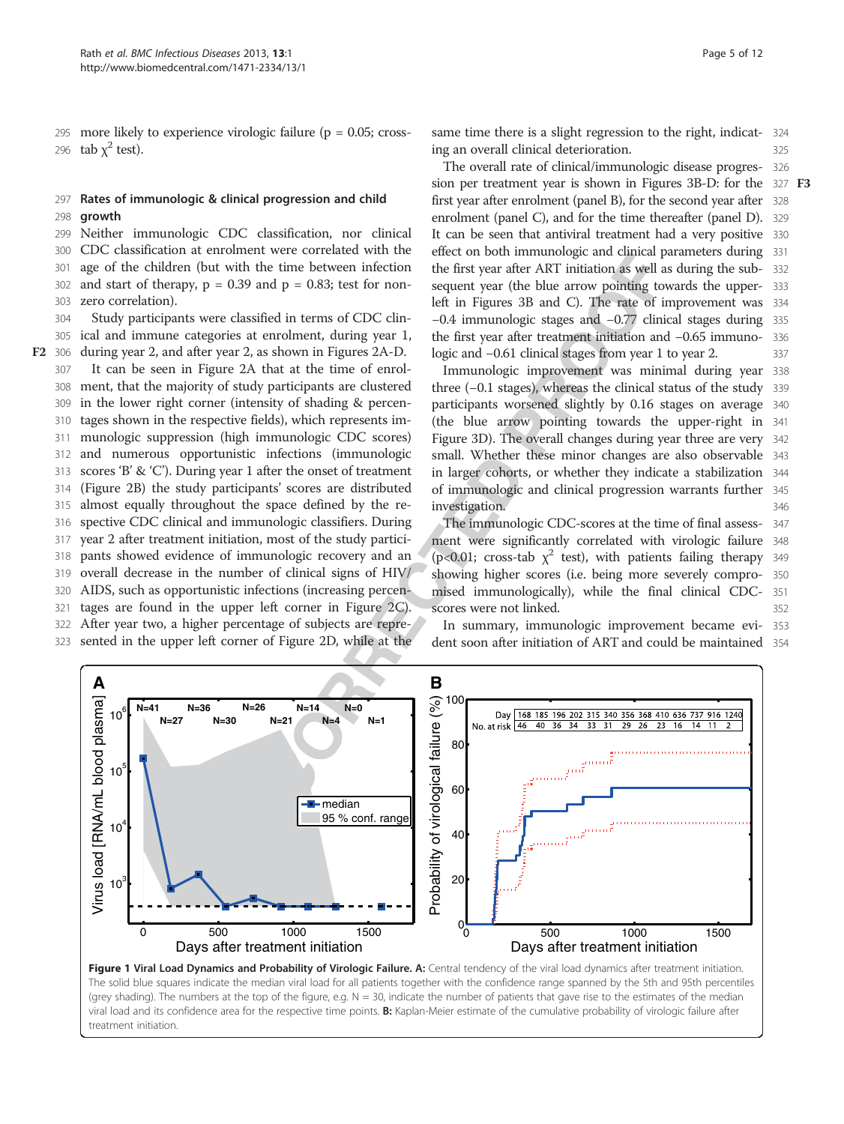<span id="page-4-0"></span>295 more likely to experience virologic failure ( $p = 0.05$ ; cross-296 tab  $\chi^2$  test).

### 297 Rates of immunologic & clinical progression and child 298 growth

**A**

106 **N=41**

**N=27**

**N=36**

 Neither immunologic CDC classification, nor clinical CDC classification at enrolment were correlated with the age of the children (but with the time between infection 302 and start of therapy,  $p = 0.39$  and  $p = 0.83$ ; test for non-zero correlation).

304 Study participants were classified in terms of CDC clin-305 ical and immune categories at enrolment, during year 1, F2 306 during year 2, and after year 2, as shown in Figures [2A-D.](#page-5-0)

 It can be seen in Figure 2A that at the time of enrol- ment, that the majority of study participants are clustered in the lower right corner (intensity of shading & percen- tages shown in the respective fields), which represents im- munologic suppression (high immunologic CDC scores) and numerous opportunistic infections (immunologic scores 'B' & 'C'). During year 1 after the onset of treatment (Figure [2B\)](#page-5-0) the study participants' scores are distributed almost equally throughout the space defined by the re- spective CDC clinical and immunologic classifiers. During year 2 after treatment initiation, most of the study partici- pants showed evidence of immunologic recovery and an overall decrease in the number of clinical signs of HIV/ AIDS, such as opportunistic infections (increasing percen- tages are found in the upper left corner in Figure [2C](#page-5-0)). After year two, a higher percentage of subjects are repre-

323 sented in the upper left corner of Figure [2D,](#page-5-0) while at the

**N=30**

**N=26**

**N=21**

**N=14 N=4 N=0 N=1**

same time there is a slight regression to the right, indicat- 324 ing an overall clinical deterioration. 325

The overall rate of clinical/immunologic disease progres- 326 sion per treatment year is shown in Figures [3B](#page-5-0)-D: for the 327 F3 first year after enrolment (panel B), for the second year after 328 enrolment (panel C), and for the time thereafter (panel D). 329 It can be seen that antiviral treatment had a very positive 330 effect on both immunologic and clinical parameters during 331 the first year after ART initiation as well as during the sub- 332 sequent year (the blue arrow pointing towards the upper- 333 left in Figures [3B and C](#page-5-0)). The rate of improvement was 334 −0.4 immunologic stages and −0.77 clinical stages during 335 the first year after treatment initiation and −0.65 immuno- 336 logic and −0.61 clinical stages from year 1 to year 2. 337

Immunologic improvement was minimal during year 338 three (−0.1 stages), whereas the clinical status of the study 339 participants worsened slightly by 0.16 stages on average 340 (the blue arrow pointing towards the upper-right in 341 Figure [3D\)](#page-5-0). The overall changes during year three are very 342 small. Whether these minor changes are also observable 343 in larger cohorts, or whether they indicate a stabilization 344 of immunologic and clinical progression warrants further 345 investigation. 346

The immunologic CDC-scores at the time of final assess- 347 ment were significantly correlated with virologic failure 348 (p<0.01; cross-tab  $\chi^2$  test), with patients failing therapy 349 showing higher scores (i.e. being more severely compro- 350 mised immunologically), while the final clinical CDC- 351 scores were not linked. 352

In summary, immunologic improvement became evi- 353 dent soon after initiation of ART and could be maintained 354

Day 168 185 196 202 315 340 356 368 410 636 737 916 1240



100

No. at risk 46

 $40$ 

**B**<br> $\frac{6}{2}$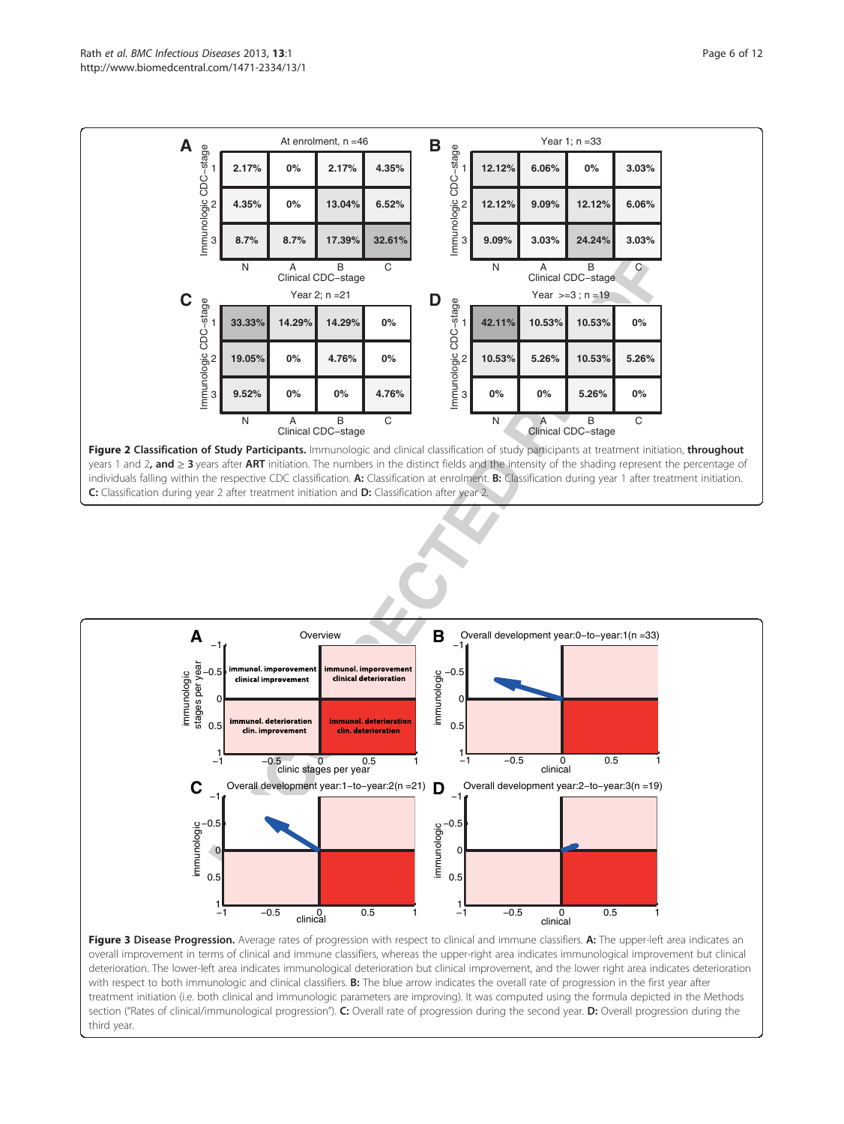

<span id="page-5-0"></span>



Figure 3 Disease Progression. Average rates of progression with respect to clinical and immune classifiers. A: The upper-left area indicates an overall improvement in terms of clinical and immune classifiers, whereas the upper-right area indicates immunological improvement but clinical deterioration. The lower-left area indicates immunological deterioration but clinical improvement, and the lower right area indicates deterioration with respect to both immunologic and clinical classifiers. **B:** The blue arrow indicates the overall rate of progression in the first year after treatment initiation (i.e. both clinical and immunologic parameters are improving). It was computed using the formula depicted in the Methods section ("Rates of clinical/immunological progression"). C: Overall rate of progression during the second year. D: Overall progression during the third year.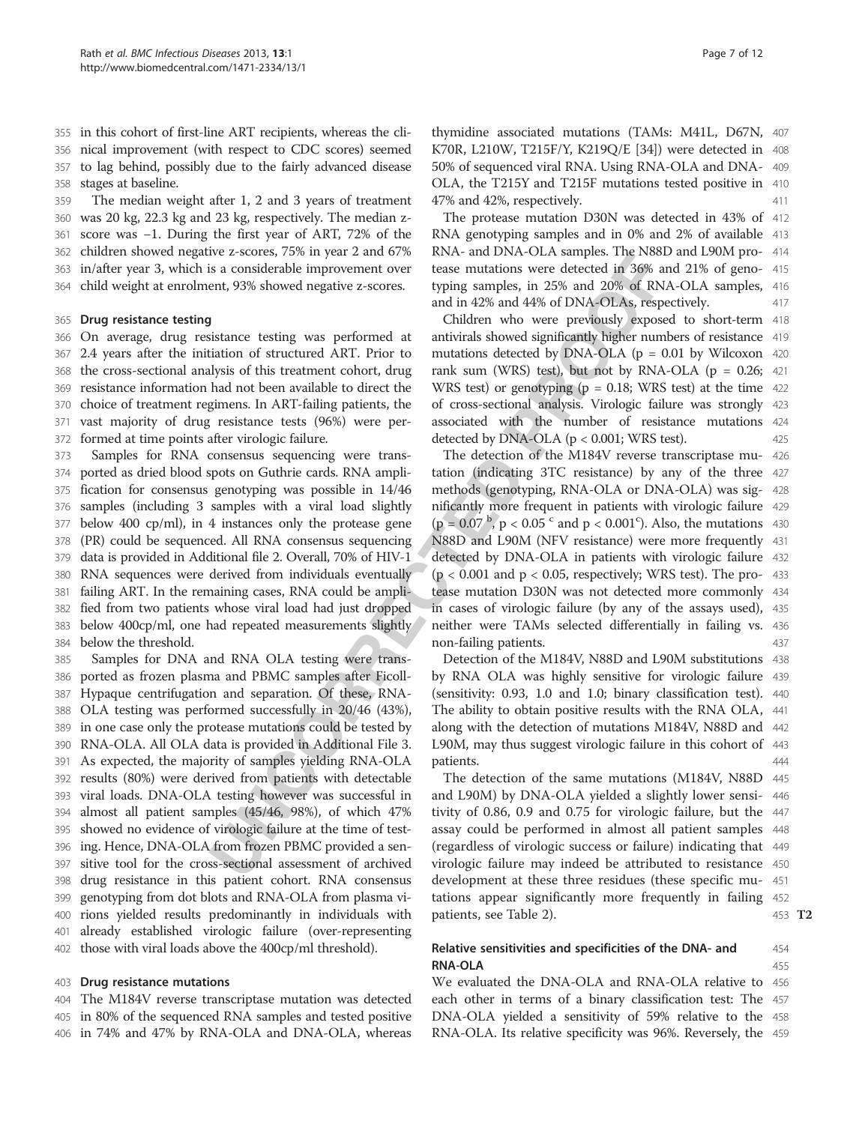in this cohort of first-line ART recipients, whereas the cli- nical improvement (with respect to CDC scores) seemed to lag behind, possibly due to the fairly advanced disease stages at baseline.

 The median weight after 1, 2 and 3 years of treatment was 20 kg, 22.3 kg and 23 kg, respectively. The median z- score was −1. During the first year of ART, 72% of the children showed negative z-scores, 75% in year 2 and 67% in/after year 3, which is a considerable improvement over child weight at enrolment, 93% showed negative z-scores.

#### 365 Drug resistance testing

 On average, drug resistance testing was performed at 2.4 years after the initiation of structured ART. Prior to the cross-sectional analysis of this treatment cohort, drug resistance information had not been available to direct the choice of treatment regimens. In ART-failing patients, the vast majority of drug resistance tests (96%) were per-formed at time points after virologic failure.

 Samples for RNA consensus sequencing were trans- ported as dried blood spots on Guthrie cards. RNA ampli- fication for consensus genotyping was possible in 14/46 samples (including 3 samples with a viral load slightly below 400 cp/ml), in 4 instances only the protease gene (PR) could be sequenced. All RNA consensus sequencing data is provided in Additional file [2](#page-9-0). Overall, 70% of HIV-1 RNA sequences were derived from individuals eventually failing ART. In the remaining cases, RNA could be ampli- fied from two patients whose viral load had just dropped below 400cp/ml, one had repeated measurements slightly below the threshold.

 Samples for DNA and RNA OLA testing were trans- ported as frozen plasma and PBMC samples after Ficoll- Hypaque centrifugation and separation. Of these, RNA- OLA testing was performed successfully in 20/46 (43%), in one case only the protease mutations could be tested by RNA-OLA. All OLA data is provided in Additional File [3](#page-9-0). As expected, the majority of samples yielding RNA-OLA results (80%) were derived from patients with detectable viral loads. DNA-OLA testing however was successful in almost all patient samples (45/46, 98%), of which 47% showed no evidence of virologic failure at the time of test- ing. Hence, DNA-OLA from frozen PBMC provided a sen- sitive tool for the cross-sectional assessment of archived drug resistance in this patient cohort. RNA consensus genotyping from dot blots and RNA-OLA from plasma vi- rions yielded results predominantly in individuals with already established virologic failure (over-representing those with viral loads above the 400cp/ml threshold).

#### 403 Drug resistance mutations

404 The M184V reverse transcriptase mutation was detected 405 in 80% of the sequenced RNA samples and tested positive 406 in 74% and 47% by RNA-OLA and DNA-OLA, whereas

thymidine associated mutations (TAMs: M41L, D67N, 407 K70R, L210W, T215F/Y, K219Q/E [[34](#page-11-0)]) were detected in 408 50% of sequenced viral RNA. Using RNA-OLA and DNA- 409 OLA, the T215Y and T215F mutations tested positive in 410 47% and 42%, respectively. 411

The protease mutation D30N was detected in 43% of 412 RNA genotyping samples and in 0% and 2% of available 413 RNA- and DNA-OLA samples. The N88D and L90M pro- 414 tease mutations were detected in 36% and 21% of geno- 415 typing samples, in 25% and 20% of RNA-OLA samples, 416 and in 42% and 44% of DNA-OLAs, respectively. 417

Children who were previously exposed to short-term 418 antivirals showed significantly higher numbers of resistance 419 mutations detected by DNA-OLA ( $p = 0.01$  by Wilcoxon 420 rank sum (WRS) test), but not by RNA-OLA ( $p = 0.26$ ; 421 WRS test) or genotyping  $(p = 0.18; WRS \text{ test})$  at the time 422 of cross-sectional analysis. Virologic failure was strongly 423 associated with the number of resistance mutations 424 detected by  $DNA-OLA$  ( $p < 0.001$ ; WRS test). 425

The detection of the M184V reverse transcriptase mu- 426 tation (indicating 3TC resistance) by any of the three 427 methods (genotyping, RNA-OLA or DNA-OLA) was sig- 428 nificantly more frequent in patients with virologic failure 429  $(p = 0.07<sup>b</sup>, p < 0.05<sup>c</sup>$  and  $p < 0.001<sup>c</sup>$ ). Also, the mutations 430 N88D and L90M (NFV resistance) were more frequently 431 detected by DNA-OLA in patients with virologic failure 432  $(p < 0.001$  and  $p < 0.05$ , respectively; WRS test). The pro- 433 tease mutation D30N was not detected more commonly 434 in cases of virologic failure (by any of the assays used), 435 neither were TAMs selected differentially in failing vs. 436 non-failing patients. 437

Detection of the M184V, N88D and L90M substitutions 438 by RNA OLA was highly sensitive for virologic failure 439 (sensitivity: 0.93, 1.0 and 1.0; binary classification test). 440 The ability to obtain positive results with the RNA OLA, 441 along with the detection of mutations M184V, N88D and 442 L90M, may thus suggest virologic failure in this cohort of 443 patients. 444

The detection of the same mutations (M184V, N88D 445 and L90M) by DNA-OLA yielded a slightly lower sensi- 446 tivity of 0.86, 0.9 and 0.75 for virologic failure, but the 447 assay could be performed in almost all patient samples 448 (regardless of virologic success or failure) indicating that 449 virologic failure may indeed be attributed to resistance 450 development at these three residues (these specific mu- 451 tations appear significantly more frequently in failing 452 patients, see Table [2\)](#page-7-0). 453 T2

### Relative sensitivities and specificities of the DNA- and 454 RNA-OLA 455

We evaluated the DNA-OLA and RNA-OLA relative to 456 each other in terms of a binary classification test: The 457 DNA-OLA yielded a sensitivity of 59% relative to the 458 RNA-OLA. Its relative specificity was 96%. Reversely, the 459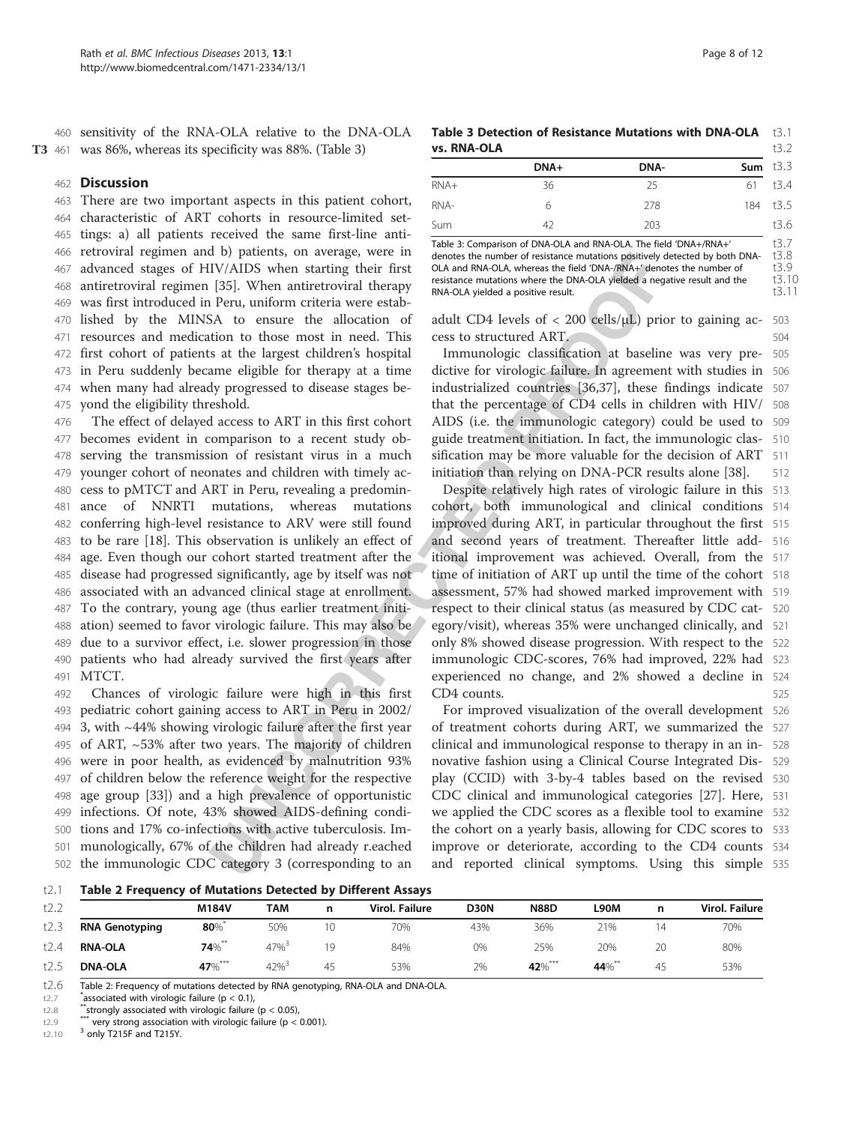<span id="page-7-0"></span>460 sensitivity of the RNA-OLA relative to the DNA-OLA T3 461 was 86%, whereas its specificity was 88%. (Table 3)

#### 462 Discussion

 There are two important aspects in this patient cohort, characteristic of ART cohorts in resource-limited set- tings: a) all patients received the same first-line anti- retroviral regimen and b) patients, on average, were in advanced stages of HIV/AIDS when starting their first antiretroviral regimen [\[35](#page-11-0)]. When antiretroviral therapy was first introduced in Peru, uniform criteria were estab- lished by the MINSA to ensure the allocation of resources and medication to those most in need. This first cohort of patients at the largest children's hospital in Peru suddenly became eligible for therapy at a time when many had already progressed to disease stages be-yond the eligibility threshold.

 The effect of delayed access to ART in this first cohort becomes evident in comparison to a recent study ob- serving the transmission of resistant virus in a much younger cohort of neonates and children with timely ac- cess to pMTCT and ART in Peru, revealing a predomin- ance of NNRTI mutations, whereas mutations conferring high-level resistance to ARV were still found to be rare [\[18\]](#page-10-0). This observation is unlikely an effect of age. Even though our cohort started treatment after the disease had progressed significantly, age by itself was not associated with an advanced clinical stage at enrollment. To the contrary, young age (thus earlier treatment initi- ation) seemed to favor virologic failure. This may also be due to a survivor effect, i.e. slower progression in those patients who had already survived the first years after 491 MTCT.

 Chances of virologic failure were high in this first pediatric cohort gaining access to ART in Peru in 2002/ 3, with ~44% showing virologic failure after the first year 495 of ART,  $\sim$ 53% after two years. The majority of children were in poor health, as evidenced by malnutrition 93% of children below the reference weight for the respective age group [[33\]](#page-11-0)) and a high prevalence of opportunistic infections. Of note, 43% showed AIDS-defining condi- tions and 17% co-infections with active tuberculosis. Im- munologically, 67% of the children had already r.eached the immunologic CDC category 3 (corresponding to an

| <b>Table 3 Detection of Resistance Mutations with DNA-OLA</b> t3.1 |  |
|--------------------------------------------------------------------|--|
| vs. RNA-OLA                                                        |  |

|        | DNA+ | DNA- | Sum $t3.3$ |          |
|--------|------|------|------------|----------|
| $RNA+$ | 36   | 25   | 61         | t3.4     |
| RNA-   | h    | 278  |            | 184 t3.5 |
| Sum    | 47   | 203  |            | t3.6     |

Table 3: Comparison of DNA-OLA and RNA-OLA. The field 'DNA+/RNA+' t3.7<br>denotes the number of resistance mutations positively detected by both DNA-t3.8 denotes the number of resistance mutations positively detected by both DNA-  $\frac{13.8}{13.9}$ <br>OLA and RNA-OLA whereas the field 'DNA-/RNA+' denotes the number of  $\frac{13.9}{13.9}$ OLA and RNA-OLA, whereas the field 'DNA-/RNA+' denotes the number of  $13.9$  resistance mutations where the DNA-OLA yielded a negative result and the  $13.10$ resistance mutations where the DNA-OLA yielded a negative result and the  $t=3.10$ <br>RNA-OLA vielded a positive result RNA-OLA vielded a positive result.

adult CD4 levels of  $< 200$  cells/ $\mu$ L) prior to gaining ac- 503 cess to structured ART. 504

Immunologic classification at baseline was very pre- 505 dictive for virologic failure. In agreement with studies in 506 industrialized countries [[36,37\]](#page-11-0), these findings indicate 507 that the percentage of CD4 cells in children with HIV/ 508 AIDS (i.e. the immunologic category) could be used to 509 guide treatment initiation. In fact, the immunologic clas- 510 sification may be more valuable for the decision of ART 511 initiation than relying on DNA-PCR results alone [\[38\]](#page-11-0). 512

Despite relatively high rates of virologic failure in this 513 cohort, both immunological and clinical conditions 514 improved during ART, in particular throughout the first 515 and second years of treatment. Thereafter little add- 516 itional improvement was achieved. Overall, from the 517 time of initiation of ART up until the time of the cohort 518 assessment, 57% had showed marked improvement with 519 respect to their clinical status (as measured by CDC cat- 520 egory/visit), whereas 35% were unchanged clinically, and 521 only 8% showed disease progression. With respect to the 522 immunologic CDC-scores, 76% had improved, 22% had 523 experienced no change, and 2% showed a decline in 524 CD4 counts. 525

For improved visualization of the overall development 526 of treatment cohorts during ART, we summarized the 527 clinical and immunological response to therapy in an in- 528 novative fashion using a Clinical Course Integrated Dis- 529 play (CCID) with 3-by-4 tables based on the revised 530 CDC clinical and immunological categories [[27\]](#page-11-0). Here, 531 we applied the CDC scores as a flexible tool to examine 532 the cohort on a yearly basis, allowing for CDC scores to 533 improve or deteriorate, according to the CD4 counts 534 and reported clinical symptoms. Using this simple 535

t2.1 Table 2 Frequency of Mutations Detected by Different Assays

| t2.2 |                       | M184V        | TAM                 | n  | Virol. Failure | D30N | <b>N88D</b>  | L90M | n              | Virol. Failure |
|------|-----------------------|--------------|---------------------|----|----------------|------|--------------|------|----------------|----------------|
| t2.3 | <b>RNA Genotyping</b> | 80%          | 50%                 |    | 70%            | 43%  | 36%          | 21%  | 14             | 70%            |
| t2.4 | <b>RNA-OLA</b>        | $74\%$ **    | $47\%$ <sup>3</sup> | 19 | 84%            | 0%   | 25%          | 20%  | 20             | 80%            |
| t2.5 | <b>DNA-OLA</b>        | $***$<br>47% | 42%                 | 45 | 53%            | 2%   | $***$<br>42% | 44%  | 4 <sup>5</sup> | 53%            |

t2:6 Table 2: Frequency of mutations detected by RNA genotyping, RNA-OLA and DNA-OLA.

t2.7 associated with virologic failure ( $p < 0.1$ ),

 $t2.8$  \*\*strongly associated with virologic failure (p < 0.05),

 $t2.9$  \*\*\* very strong association with virologic failure (p < 0.001).

t2.10  $3$  only T215F and T215Y.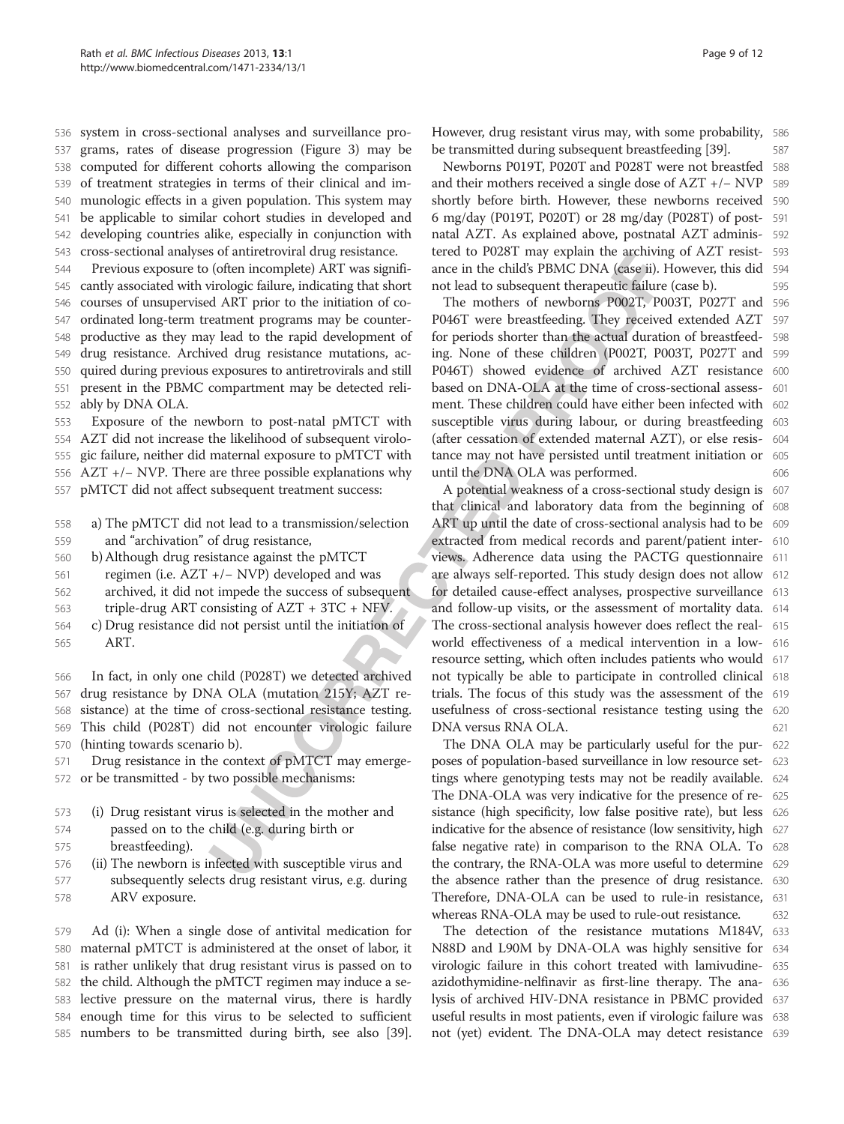system in cross-sectional analyses and surveillance pro- grams, rates of disease progression (Figure [3\)](#page-5-0) may be computed for different cohorts allowing the comparison of treatment strategies in terms of their clinical and im- munologic effects in a given population. This system may be applicable to similar cohort studies in developed and developing countries alike, especially in conjunction with cross-sectional analyses of antiretroviral drug resistance.

 Previous exposure to (often incomplete) ART was signifi- cantly associated with virologic failure, indicating that short courses of unsupervised ART prior to the initiation of co- ordinated long-term treatment programs may be counter- productive as they may lead to the rapid development of drug resistance. Archived drug resistance mutations, ac- quired during previous exposures to antiretrovirals and still present in the PBMC compartment may be detected reli-ably by DNA OLA.

 Exposure of the newborn to post-natal pMTCT with AZT did not increase the likelihood of subsequent virolo- gic failure, neither did maternal exposure to pMTCT with AZT +/− NVP. There are three possible explanations why pMTCT did not affect subsequent treatment success:

- 558 a) The pMTCT did not lead to a transmission/selection 559 and "archivation" of drug resistance,
- 560 b)Although drug resistance against the pMTCT
- 561 regimen (i.e. AZT +/− NVP) developed and was 562 archived, it did not impede the success of subsequent
- 563 triple-drug ART consisting of AZT + 3TC + NFV.
- 564 c) Drug resistance did not persist until the initiation of 565 ART.

 In fact, in only one child (P028T) we detected archived drug resistance by DNA OLA (mutation 215Y; AZT re- sistance) at the time of cross-sectional resistance testing. This child (P028T) did not encounter virologic failure (hinting towards scenario b).

571 Drug resistance in the context of pMTCT may emerge-572 or be transmitted - by two possible mechanisms:

- 573 (i) Drug resistant virus is selected in the mother and
- 574 passed on to the child (e.g. during birth or
- 575 breastfeeding).
- 576 (ii) The newborn is infected with susceptible virus and
- 577 subsequently selects drug resistant virus, e.g. during 578 ARV exposure.

 Ad (i): When a single dose of antivital medication for maternal pMTCT is administered at the onset of labor, it is rather unlikely that drug resistant virus is passed on to the child. Although the pMTCT regimen may induce a se- lective pressure on the maternal virus, there is hardly enough time for this virus to be selected to sufficient numbers to be transmitted during birth, see also [[39](#page-11-0)].

However, drug resistant virus may, with some probability, 586 be transmitted during subsequent breastfeeding [[39](#page-11-0)]. 587

Newborns P019T, P020T and P028T were not breastfed 588 and their mothers received a single dose of AZT +/− NVP 589 shortly before birth. However, these newborns received 590 6 mg/day (P019T, P020T) or 28 mg/day (P028T) of post- 591 natal AZT. As explained above, postnatal AZT adminis- 592 tered to P028T may explain the archiving of AZT resist- 593 ance in the child's PBMC DNA (case ii). However, this did 594 not lead to subsequent therapeutic failure (case b). 595

The mothers of newborns P002T, P003T, P027T and 596 P046T were breastfeeding. They received extended AZT 597 for periods shorter than the actual duration of breastfeed- 598 ing. None of these children (P002T, P003T, P027T and 599 P046T) showed evidence of archived AZT resistance 600 based on DNA-OLA at the time of cross-sectional assess- 601 ment. These children could have either been infected with 602 susceptible virus during labour, or during breastfeeding 603 (after cessation of extended maternal AZT), or else resis- 604 tance may not have persisted until treatment initiation or 605 until the DNA OLA was performed. 606

A potential weakness of a cross-sectional study design is 607 that clinical and laboratory data from the beginning of 608 ART up until the date of cross-sectional analysis had to be 609 extracted from medical records and parent/patient inter- 610 views. Adherence data using the PACTG questionnaire 611 are always self-reported. This study design does not allow 612 for detailed cause-effect analyses, prospective surveillance 613 and follow-up visits, or the assessment of mortality data. 614 The cross-sectional analysis however does reflect the real- 615 world effectiveness of a medical intervention in a low- 616 resource setting, which often includes patients who would 617 not typically be able to participate in controlled clinical 618 trials. The focus of this study was the assessment of the 619 usefulness of cross-sectional resistance testing using the 620 DNA versus RNA OLA. 621

The DNA OLA may be particularly useful for the pur- 622 poses of population-based surveillance in low resource set- 623 tings where genotyping tests may not be readily available. 624 The DNA-OLA was very indicative for the presence of re- 625 sistance (high specificity, low false positive rate), but less 626 indicative for the absence of resistance (low sensitivity, high 627 false negative rate) in comparison to the RNA OLA. To 628 the contrary, the RNA-OLA was more useful to determine 629 the absence rather than the presence of drug resistance. 630 Therefore, DNA-OLA can be used to rule-in resistance, 631 whereas RNA-OLA may be used to rule-out resistance. 632

The detection of the resistance mutations M184V, 633 N88D and L90M by DNA-OLA was highly sensitive for 634 virologic failure in this cohort treated with lamivudine- 635 azidothymidine-nelfinavir as first-line therapy. The ana- 636 lysis of archived HIV-DNA resistance in PBMC provided 637 useful results in most patients, even if virologic failure was 638 not (yet) evident. The DNA-OLA may detect resistance 639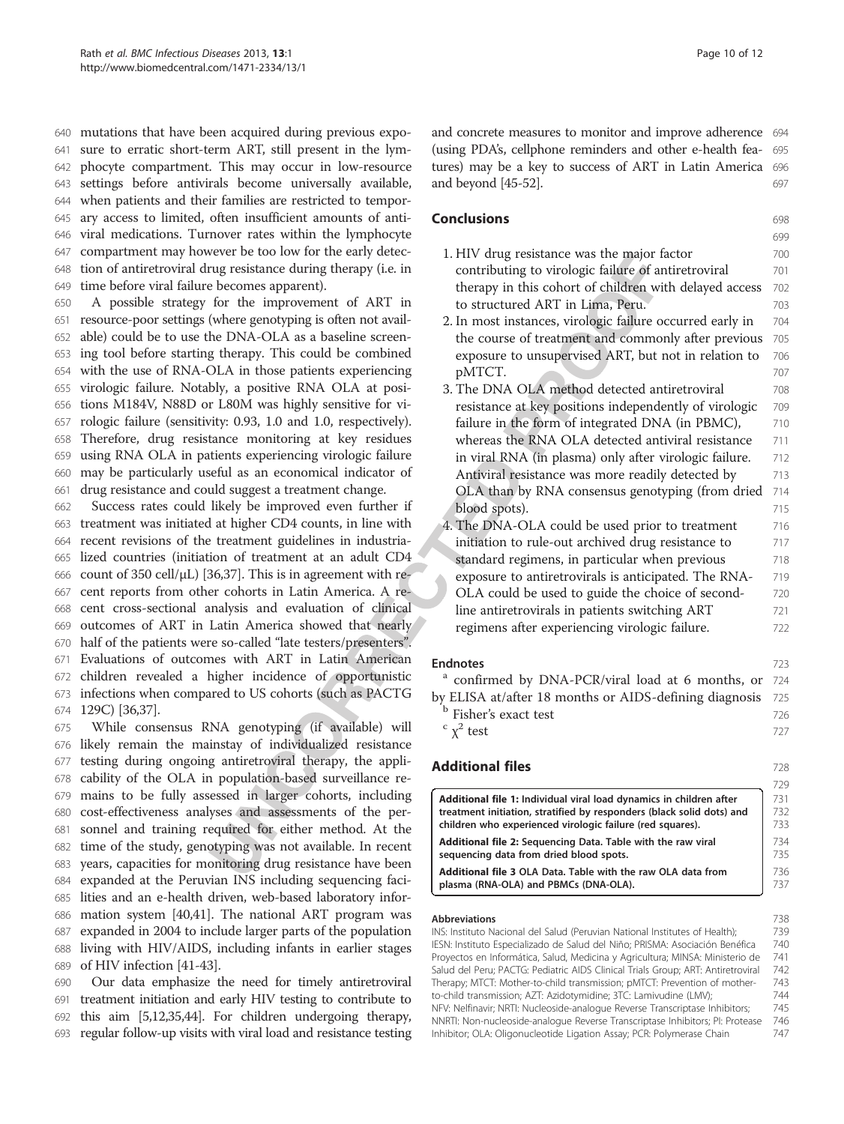<span id="page-9-0"></span> mutations that have been acquired during previous expo- sure to erratic short-term ART, still present in the lym- phocyte compartment. This may occur in low-resource settings before antivirals become universally available, when patients and their families are restricted to tempor- ary access to limited, often insufficient amounts of anti- viral medications. Turnover rates within the lymphocyte compartment may however be too low for the early detec- tion of antiretroviral drug resistance during therapy (i.e. in time before viral failure becomes apparent).

 A possible strategy for the improvement of ART in resource-poor settings (where genotyping is often not avail- able) could be to use the DNA-OLA as a baseline screen- ing tool before starting therapy. This could be combined with the use of RNA-OLA in those patients experiencing virologic failure. Notably, a positive RNA OLA at posi- tions M184V, N88D or L80M was highly sensitive for vi- rologic failure (sensitivity: 0.93, 1.0 and 1.0, respectively). Therefore, drug resistance monitoring at key residues using RNA OLA in patients experiencing virologic failure may be particularly useful as an economical indicator of drug resistance and could suggest a treatment change.

 Success rates could likely be improved even further if treatment was initiated at higher CD4 counts, in line with recent revisions of the treatment guidelines in industria- lized countries (initiation of treatment at an adult CD4 count of 350 cell/μL) [\[36,37](#page-11-0)]. This is in agreement with re- cent reports from other cohorts in Latin America. A re- cent cross-sectional analysis and evaluation of clinical outcomes of ART in Latin America showed that nearly half of the patients were so-called "late testers/presenters". Evaluations of outcomes with ART in Latin American children revealed a higher incidence of opportunistic infections when compared to US cohorts (such as PACTG 129C) [[36,37\]](#page-11-0).

 While consensus RNA genotyping (if available) will likely remain the mainstay of individualized resistance testing during ongoing antiretroviral therapy, the appli- cability of the OLA in population-based surveillance re- mains to be fully assessed in larger cohorts, including cost-effectiveness analyses and assessments of the per- sonnel and training required for either method. At the time of the study, genotyping was not available. In recent years, capacities for monitoring drug resistance have been expanded at the Peruvian INS including sequencing faci- lities and an e-health driven, web-based laboratory infor- mation system [\[40,41\]](#page-11-0). The national ART program was expanded in 2004 to include larger parts of the population living with HIV/AIDS, including infants in earlier stages of HIV infection [\[41-43\]](#page-11-0).

 Our data emphasize the need for timely antiretroviral treatment initiation and early HIV testing to contribute to this aim [[5,12,](#page-10-0)[35,44\]](#page-11-0). For children undergoing therapy, regular follow-up visits with viral load and resistance testing 699

729

and concrete measures to monitor and improve adherence 694 (using PDA's, cellphone reminders and other e-health fea- 695 tures) may be a key to success of ART in Latin America 696 and beyond [\[45-52](#page-11-0)]. 697

#### Conclusions 698

- 1. HIV drug resistance was the major factor 700 contributing to virologic failure of antiretroviral 701 therapy in this cohort of children with delayed access 702 to structured ART in Lima, Peru. 703
- 2. In most instances, virologic failure occurred early in 704 the course of treatment and commonly after previous 705 exposure to unsupervised ART, but not in relation to 706 pMTCT. 707
- 3. The DNA OLA method detected antiretroviral 708 resistance at key positions independently of virologic 709 failure in the form of integrated DNA (in PBMC),  $\qquad$  710 whereas the RNA OLA detected antiviral resistance 711 in viral RNA (in plasma) only after virologic failure. 712 Antiviral resistance was more readily detected by 713 OLA than by RNA consensus genotyping (from dried 714 blood spots). 715 4. The DNA-OLA could be used prior to treatment 716 initiation to rule-out archived drug resistance to  $717$
- standard regimens, in particular when previous 718 exposure to antiretrovirals is anticipated. The RNA- 719 OLA could be used to guide the choice of second- 720 line antiretrovirals in patients switching ART 721 regimens after experiencing virologic failure. 722
- Endnotes 723

| <sup>a</sup> confirmed by DNA-PCR/viral load at 6 months, or 724 |     |
|------------------------------------------------------------------|-----|
| by ELISA at/after 18 months or AIDS-defining diagnosis 725       |     |
| <sup>b</sup> Fisher's exact test                                 | 776 |
| $\int c \chi^2$ test                                             | 727 |

#### Additional files 728

[Additional file 1:](http://www.biomedcentral.com/content/supplementary/1471-2334-13-1-S1.pdf) Individual viral load dynamics in children after | 731 treatment initiation, stratified by responders (black solid dots) and | 732 children who experienced virologic failure (red squares). 233 [Additional file 2:](http://www.biomedcentral.com/content/supplementary/1471-2334-13-1-S2.xls) Sequencing Data. Table with the raw viral  $734$ <br>sequencing data from dried blood spots. sequencing data from dried blood spots. [Additional file 3](http://www.biomedcentral.com/content/supplementary/1471-2334-13-1-S3.xlsx) OLA Data. Table with the raw OLA data from  $736$ <br>plasma (RNA-OLA) and PBMCs (DNA-OLA).

plasma (RNA-OLA) and PBMCs (DNA-OLA).

#### Abbreviations 738

INS: Instituto Nacional del Salud (Peruvian National Institutes of Health); 739 IESN: Instituto Especializado de Salud del Niño; PRISMA: Asociación Benéfica 740 Proyectos en Informática, Salud, Medicina y Agricultura; MINSA: Ministerio de 741 Salud del Peru; PACTG: Pediatric AIDS Clinical Trials Group; ART: Antiretroviral Therapy; MTCT: Mother-to-child transmission; pMTCT: Prevention of mother-<br>to-child transmission; AZT: Azidotymidine; 3TC: Lamivudine (LMV); 744 to-child transmission; AZT: Azidotymidine; 3TC: Lamivudine (LMV); 744<br>NFV: Nelfinavir; NRTI: Nucleoside-analoque Reverse Transcriptase Inhibitors; 745 NFV: Nelfinavir; NRTI: Nucleoside-analogue Reverse Transcriptase Inhibitors; 745 NNRTI: Non-nucleoside-analogue Reverse Transcriptase Inhibitors; PI: Protease 746 Inhibitor; OLA: Oligonucleotide Ligation Assay; PCR: Polymerase Chain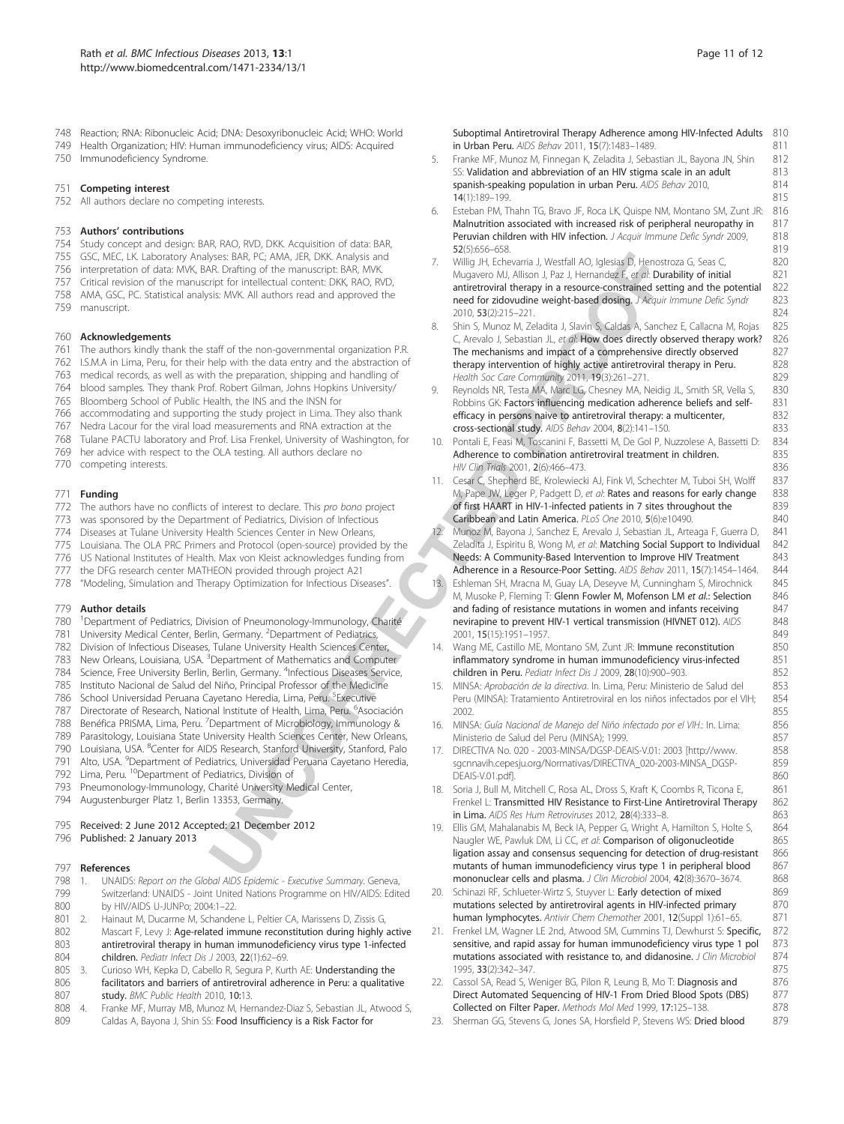<span id="page-10-0"></span>748 Reaction; RNA: Ribonucleic Acid; DNA: Desoxyribonucleic Acid; WHO: World 749 Health Organization; HIV: Human immunodeficiency virus; AIDS: Acquired

750 Immunodeficiency Syndrome.

751 Competing interest

752 All authors declare no competing interests.

#### 753 Authors' contributions

- 754 Study concept and design: BAR, RAO, RVD, DKK. Acquisition of data: BAR,
- 755 GSC, MEC, LK. Laboratory Analyses: BAR, PC; AMA, JER, DKK. Analysis and
- 756 interpretation of data: MVK, BAR. Drafting of the manuscript: BAR, MVK.
- 757 Critical revision of the manuscript for intellectual content: DKK, RAO, RVD,
- 758 AMA, GSC, PC. Statistical analysis: MVK. All authors read and approved the 759 manuscript.
- 

## 760 **Acknowledgements**<br>761 The authors kindly the

- The authors kindly thank the staff of the non-governmental organization P.R.
- 762 I.S.M.A in Lima, Peru, for their help with the data entry and the abstraction of
- 763 medical records, as well as with the preparation, shipping and handling of
- 764 blood samples. They thank Prof. Robert Gilman, Johns Hopkins University/
- 765 Bloomberg School of Public Health, the INS and the INSN for
- 766 accommodating and supporting the study project in Lima. They also thank
- 767 Nedra Lacour for the viral load measurements and RNA extraction at the 768 Tulane PACTU Jahoratory and Prof. Lisa Frenkel University of Washington
- Tulane PACTU laboratory and Prof. Lisa Frenkel, University of Washington, for
- 769 her advice with respect to the OLA testing. All authors declare no
- 770 competing interests.

# 771 **Funding**<br>772 The auth

- The authors have no conflicts of interest to declare. This pro bono project
- 773 was sponsored by the Department of Pediatrics, Division of Infectious<br>774 Diseases at Tulane University Health Sciences Center in New Orleans
- Diseases at Tulane University Health Sciences Center in New Orleans,
- 775 Louisiana. The OLA PRC Primers and Protocol (open-source) provided by the
- 776 US National Institutes of Health. Max von Kleist acknowledges funding from
- 777 the DFG research center MATHEON provided through project A21<br>778 "Modeling, Simulation and Therapy Optimization for Infectious Dis
- "Modeling, Simulation and Therapy Optimization for Infectious Diseases"

#### 779 Author details

- 780 <sup>1</sup>Department of Pediatrics, Division of Pneumonology-Immunology, Charité
- 781 University Medical Center, Berlin, Germany. <sup>2</sup>Department of Pediatrics,
- 782 Division of Infectious Diseases, Tulane University Health Sciences Center,<br>783 New Orleans Louisiana USA <sup>3</sup>Department of Mathematics and Comput
- 783 New Orleans, Louisiana, USA. <sup>3</sup> Department of Mathematics and Computer
- 784 Science, Free University Berlin, Berlin, Germany. <sup>4</sup>Infectious Diseases Service,
- 785 Instituto Nacional de Salud del Niño, Principal Professor of the Medicine
- 786 School Universidad Peruana Cayetano Heredia, Lima, Peru. <sup>5</sup>Executive
- 787 Directorate of Research, National Institute of Health, Lima, Peru. <sup>6</sup>Asociación
- 788 Benéfica PRISMA, Lima, Peru. <sup>7</sup>Department of Microbiology, Immunology &
- 789 Parasitology, Louisiana State University Health Sciences Center, New Orleans,
- 790 Louisiana, USA. <sup>8</sup>Center for AIDS Research, Stanford University, Stanford, Palo 791 Alto, USA. <sup>9</sup>Department of Pediatrics, Universidad Peruana Cayetano Heredia,
- 
- 792 Lima, Peru. <sup>10</sup>Department of Pediatrics, Division of<br>793 Ppeumopology-Immunology Charité University M Pneumonology-Immunology, Charité University Medical Center,
- 794 Augustenburger Platz 1, Berlin 13353, Germany.
- 795 Received: 2 June 2012 Accepted: 21 December 2012
- 796 Published: 2 January 2013

#### 797 References

- 798 1. UNAIDS: Report on the Global AIDS Epidemic Executive Summary. Geneva, 799 Switzerland: UNAIDS - Joint United Nations Programme on HIV/AIDS: Edited by HIV/AIDS U-JUNPo: 2004:1-22.
- 801 2. Hainaut M, Ducarme M, Schandene L, Peltier CA, Marissens D, Zissis G, 802 Mascart F, Levy J: Age-related immune reconstitution during highly active 803 antiretroviral therapy in human immunodeficiency virus type 1-infected
- 804 **children.** Pediatr Infect Dis J 2003, 22(1):62-69. 805 3. Curioso WH, Kepka D, Cabello R, Segura P, Kurth AE: Understanding the 806 facilitators and barriers of antiretroviral adherence in Peru: a qualitative 807 study. BMC Public Health 2010, 10:13.
- 808 4. Franke MF, Murray MB, Munoz M, Hernandez-Diaz S, Sebastian JL, Atwood S,
- 809 Caldas A, Bayona J, Shin SS: Food Insufficiency is a Risk Factor for

Suboptimal Antiretroviral Therapy Adherence among HIV-Infected Adults 810 in Urban Peru. AIDS Behav 2011, 15(7):1483-1489. 5. Franke MF, Munoz M, Finnegan K, Zeladita J, Sebastian JL, Bayona JN, Shin 812<br>SS: Validation and abbreviation of an HIV stigma scale in an adult 813 SS: Validation and abbreviation of an HIV stigma scale in an adult

- spanish-speaking population in urban Peru. AIDS Behav 2010, 814 815<br>Fsteban PM. Thahn TG. Bravo JF. Roca I K. Ouispe NM. Montano SM. Zunt JR: 816 6. Esteban PM, Thahn TG, Bravo JE, Roca J.K. Quispe NM, Montano SM, Zunt JR:
- Malnutrition associated with increased risk of peripheral neuropathy in 817<br>Peruvian children with HIV infection *| Acquir Immune Defic Syndr* 2009 818 Peruvian children with HIV infection. J Acquir Immune Defic Syndr 2009, 819 / 52(5):656–658.<br>- Willia IH Echevarria I Westfall AQ Iglesias D. Henostroza G. Seas C
- Willig JH, Echevarria J, Westfall AO, Iglesias D, Henostroza G, Seas C, 820<br>Mugavero MT Allison J, Paz J, Hernandez E, et al: **Durability of initial** 821 Mugavero MJ, Allison J, Paz J, Hernandez F, et al: Durability of initial 821<br>antiretroviral therany in a resource-constrained setting and the potential 822 antiretroviral therapy in a resource-constrained setting and the potential 822<br>need for zidovudine weight-based dosing *LAcquir Immune Defic* Syndrum need for zidovudine weight-based dosing. J Acquir Immune Defic Syndr
- 2010, 53(2):215–221. 824 8. Shin S, Munoz M, Zeladita J, Slavin S, Caldas A, Sanchez E, Callacna M, Rojas C, Arevalo J, Sebastian JL, et al: How does directly observed therapy work? 826 The mechanisms and impact of a comprehensive directly observed 827 therapy intervention of highly active antiretroviral therapy in Peru. 828 Health Soc Care Community 2011, 19(3):261–271.<br>Reynolds NR, Testa MA, Marc LG, Chesney MA, Neidig JL, Smith SR, Vella S, 830
- 9. Reynolds NR, Testa MA, Marc LG, Chesney MA, Neidig JL, Smith SR, Vella S, Robbins GK: Factors influencing medication adherence beliefs and self-<br>831 efficacy in persons naive to antiretroviral therapy: a multicenter,  $832$ <br>cross-sectional study  $A/DS$   $Rehav$   $2004$   $B/2141-150$   $833$ cross-sectional study. AIDS Behav 2004, 8(2):141-150.
- Pontali E, Feasi M, Toscanini F, Bassetti M, De Gol P, Nuzzolese A, Bassetti D: 834 Adherence to combination antiretroviral treatment in children. 835 HIV Clin Trials 2001, 2(6):466–473. 836
- 11. Cesar C, Shepherd BE, Krolewiecki AJ, Fink VI, Schechter M, Tuboi SH, Wolff M, Pape JW, Leger P, Padgett D, et al: Rates and reasons for early change 838 of first HAART in HIV-1-infected patients in 7 sites throughout the 839 Caribbean and Latin America. PLoS One 2010, 5(6):e10490. 840
- Munoz M, Bayona J, Sanchez E, Arevalo J, Sebastian JL, Arteaga F, Guerra D, 841 Zeladita J, Espiritu B, Wong M, et al: Matching Social Support to Individual 842 Needs: A Community-Based Intervention to Improve HIV Treatment 843 Adherence in a Resource-Poor Setting. AIDS Behav 2011, 15(7):1454-1464. 844 13. Eshleman SH, Mracna M, Guay LA, Deseyve M, Cunningham S, Mirochnick 845<br>146. M. Musoke P. Fleming T: Glenn Fowler M. Mofenson J. M. et al.: Selection 846 M, Musoke P, Fleming T: Glenn Fowler M, Mofenson LM et al.: Selection and fading of resistance mutations in women and infants receiving 847 nevirapine to prevent HIV-1 vertical transmission (HIVNET 012). AIDS 848 2001, 15(15):1951–1957. 849
- 14. Wang ME, Castillo ME, Montano SM, Zunt JR: Immune reconstitution 850<br>
inflammatory syndrome in human immunodeficiency virus-infected 851 inflammatory syndrome in human immunodeficiency virus-infected children in Peru. Pediatr Infect Dis J 2009, 28(10):900–903. 852
- 15. MINSA: Aprobación de la directiva. In. Lima, Peru: Ministerio de Salud del 853 Peru (MINSA): Tratamiento Antiretroviral en los niños infectados por el VIH; 854 2002. 855
- 16. MINSA: Guía Nacional de Manejo del Niño infectado por el VIH.: In. Lima: 856 Ministerio de Salud del Peru (MINSA); 1999. **1998** en anticada en anticada en anticada en anticada en anticada en a
- 17. DIRECTIVA No. 020 2003-MINSA/DGSP-DEAIS-V.01: 2003 [[http://www.](http://www.sgcnnavih.cepesju.org/Normativas/DIRECTIVA_020-2003-MINSA_DGSP-DEAIS-V.01.pdf) 858 [sgcnnavih.cepesju.org/Normativas/DIRECTIVA\\_020-2003-MINSA\\_DGSP-](http://www.sgcnnavih.cepesju.org/Normativas/DIRECTIVA_020-2003-MINSA_DGSP-DEAIS-V.01.pdf) [DEAIS-V.01.pdf\]](http://www.sgcnnavih.cepesju.org/Normativas/DIRECTIVA_020-2003-MINSA_DGSP-DEAIS-V.01.pdf). 860
- 18. Soria J, Bull M, Mitchell C, Rosa AL, Dross S, Kraft K, Coombs R, Ticona E, 861 Frenkel L: Transmitted HIV Resistance to First-Line Antiretroviral Therapy 862 in Lima. AIDS Res Hum Retroviruses 2012, 28(4):333-8.
- 19. Ellis GM, Mahalanabis M, Beck IA, Pepper G, Wright A, Hamilton S, Holte S, 864 Naugler WE, Pawluk DM, Li CC, et al: Comparison of oligonucleotide 865 ligation assay and consensus sequencing for detection of drug-resistant 866 mutants of human immunodeficiency virus type 1 in peripheral blood 867 mononuclear cells and plasma. J Clin Microbiol 2004, 42(8):3670-3674. 868
- 20. Schinazi RF, Schlueter-Wirtz S, Stuyver L: Early detection of mixed 869 mutations selected by antiretroviral agents in HIV-infected primary 870 human lymphocytes. Antivir Chem Chemother 2001, 12(Suppl 1):61-65. 871
- 21. Frenkel LM, Wagner LE 2nd, Atwood SM, Cummins TJ, Dewhurst S: Specific, 872 sensitive, and rapid assay for human immunodeficiency virus type 1 pol 873<br>mutations associated with resistance to and didanosine *LClin Microbiol 874* mutations associated with resistance to, and didanosine. J Clin Microbiol 1995, 33(2):342–347. 875
- 22. Cassol SA, Read S, Weniger BG, Pilon R, Leung B, Mo T: Diagnosis and 876 Direct Automated Sequencing of HIV-1 From Dried Blood Spots (DBS) 877 Collected on Filter Paper. Methods Mol Med 1999, 17:125–138. 878
- 23. Sherman GG, Stevens G, Jones SA, Horsfield P, Stevens WS: Dried blood 879